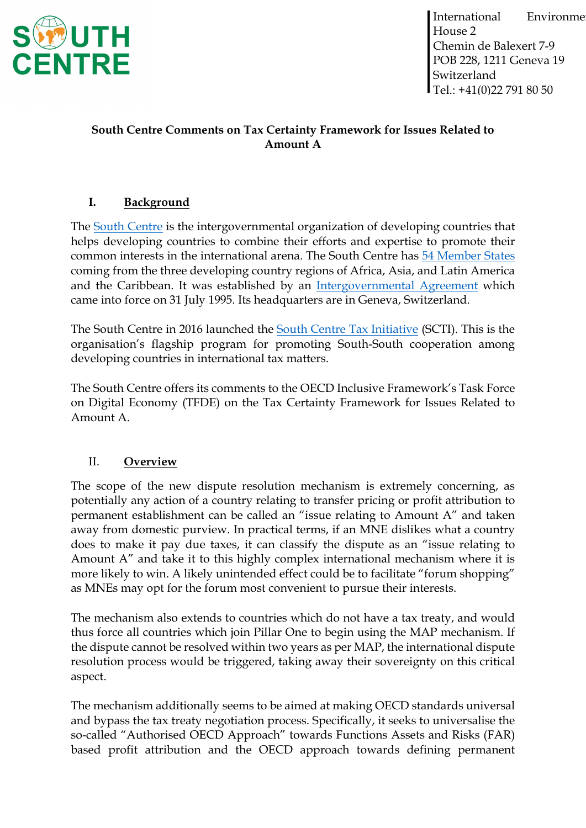

## **South Centre Comments on Tax Certainty Framework for Issues Related to Amount A**

# **I. Background**

The [South Centre](https://www.southcentre.int/about-the-south-centre/) is the intergovernmental organization of developing countries that helps developing countries to combine their efforts and expertise to promote their common interests in the international arena. The South Centre has [54 Member States](https://www.southcentre.int/member-countries/) coming from the three developing country regions of Africa, Asia, and Latin America and the Caribbean. It was established by an [Intergovernmental Agreement](https://www.southcentre.int/wp-content/uploads/2013/02/Intergovernmental-Agreement_EN.pdf) which came into force on 31 July 1995. Its headquarters are in Geneva, Switzerland.

The South Centre in 2016 launched the [South Centre Tax Initiative](https://taxinitiative.southcentre.int/) (SCTI). This is the organisation's flagship program for promoting South-South cooperation among developing countries in international tax matters.

The South Centre offers its comments to the OECD Inclusive Framework's Task Force on Digital Economy (TFDE) on the Tax Certainty Framework for Issues Related to Amount A.

### II. **Overview**

The scope of the new dispute resolution mechanism is extremely concerning, as potentially any action of a country relating to transfer pricing or profit attribution to permanent establishment can be called an "issue relating to Amount A" and taken away from domestic purview. In practical terms, if an MNE dislikes what a country does to make it pay due taxes, it can classify the dispute as an "issue relating to Amount A" and take it to this highly complex international mechanism where it is more likely to win. A likely unintended effect could be to facilitate "forum shopping" as MNEs may opt for the forum most convenient to pursue their interests.

The mechanism also extends to countries which do not have a tax treaty, and would thus force all countries which join Pillar One to begin using the MAP mechanism. If the dispute cannot be resolved within two years as per MAP, the international dispute resolution process would be triggered, taking away their sovereignty on this critical aspect.

The mechanism additionally seems to be aimed at making OECD standards universal and bypass the tax treaty negotiation process. Specifically, it seeks to universalise the so-called "Authorised OECD Approach" towards Functions Assets and Risks (FAR) based profit attribution and the OECD approach towards defining permanent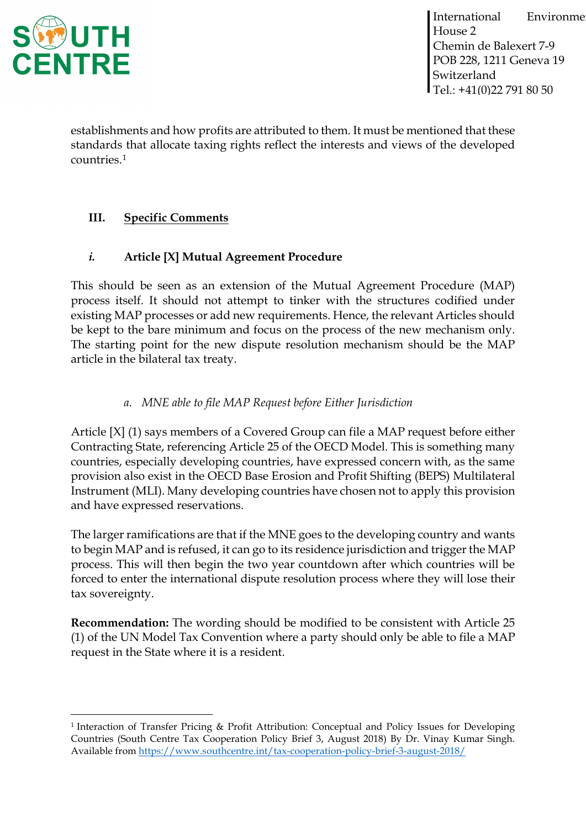

establishments and how profits are attributed to them. It must be mentioned that these standards that allocate taxing rights reflect the interests and views of the developed countries.[1](#page-1-0)

# **III. Specific Comments**

## *i.* **Article [X] Mutual Agreement Procedure**

This should be seen as an extension of the Mutual Agreement Procedure (MAP) process itself. It should not attempt to tinker with the structures codified under existing MAP processes or add new requirements. Hence, the relevant Articles should be kept to the bare minimum and focus on the process of the new mechanism only. The starting point for the new dispute resolution mechanism should be the MAP article in the bilateral tax treaty.

## *a. MNE able to file MAP Request before Either Jurisdiction*

Article [X] (1) says members of a Covered Group can file a MAP request before either Contracting State, referencing Article 25 of the OECD Model. This is something many countries, especially developing countries, have expressed concern with, as the same provision also exist in the OECD Base Erosion and Profit Shifting (BEPS) Multilateral Instrument (MLI). Many developing countries have chosen not to apply this provision and have expressed reservations.

The larger ramifications are that if the MNE goes to the developing country and wants to begin MAP and is refused, it can go to its residence jurisdiction and trigger the MAP process. This will then begin the two year countdown after which countries will be forced to enter the international dispute resolution process where they will lose their tax sovereignty.

**Recommendation:** The wording should be modified to be consistent with Article 25 (1) of the UN Model Tax Convention where a party should only be able to file a MAP request in the State where it is a resident.

<span id="page-1-0"></span><sup>1</sup> Interaction of Transfer Pricing & Profit Attribution: Conceptual and Policy Issues for Developing Countries (South Centre Tax Cooperation Policy Brief 3, August 2018) By Dr. Vinay Kumar Singh. Available from<https://www.southcentre.int/tax-cooperation-policy-brief-3-august-2018/>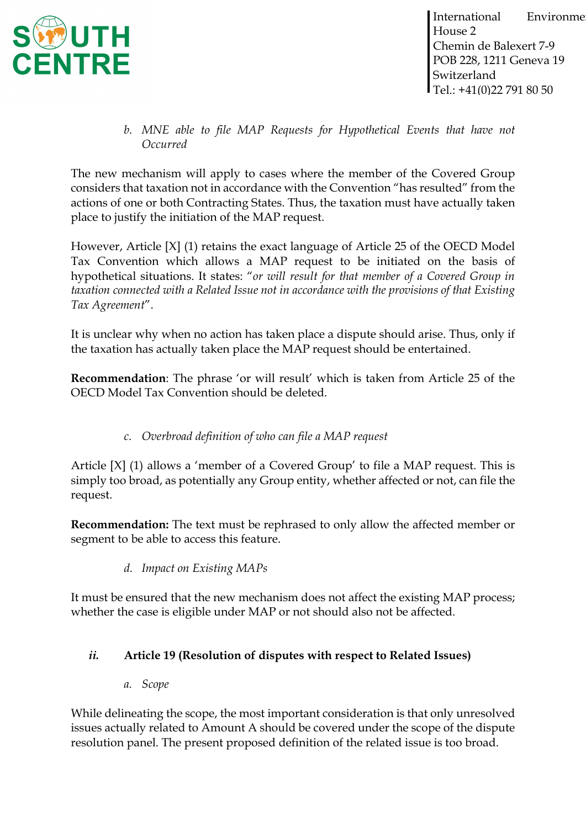

*b. MNE able to file MAP Requests for Hypothetical Events that have not Occurred*

The new mechanism will apply to cases where the member of the Covered Group considers that taxation not in accordance with the Convention "has resulted" from the actions of one or both Contracting States. Thus, the taxation must have actually taken place to justify the initiation of the MAP request.

However, Article [X] (1) retains the exact language of Article 25 of the OECD Model Tax Convention which allows a MAP request to be initiated on the basis of hypothetical situations. It states: "*or will result for that member of a Covered Group in taxation connected with a Related Issue not in accordance with the provisions of that Existing Tax Agreement*".

It is unclear why when no action has taken place a dispute should arise. Thus, only if the taxation has actually taken place the MAP request should be entertained.

**Recommendation**: The phrase 'or will result' which is taken from Article 25 of the OECD Model Tax Convention should be deleted.

## *c. Overbroad definition of who can file a MAP request*

Article [X] (1) allows a 'member of a Covered Group' to file a MAP request. This is simply too broad, as potentially any Group entity, whether affected or not, can file the request.

**Recommendation:** The text must be rephrased to only allow the affected member or segment to be able to access this feature.

*d. Impact on Existing MAPs*

It must be ensured that the new mechanism does not affect the existing MAP process; whether the case is eligible under MAP or not should also not be affected.

### *ii.* **Article 19 (Resolution of disputes with respect to Related Issues)**

*a. Scope*

While delineating the scope, the most important consideration is that only unresolved issues actually related to Amount A should be covered under the scope of the dispute resolution panel. The present proposed definition of the related issue is too broad.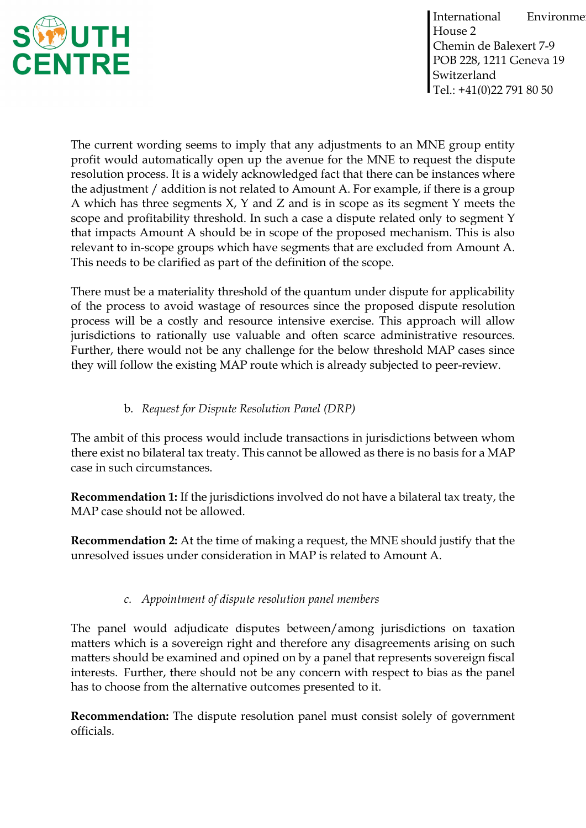

The current wording seems to imply that any adjustments to an MNE group entity profit would automatically open up the avenue for the MNE to request the dispute resolution process. It is a widely acknowledged fact that there can be instances where the adjustment / addition is not related to Amount A. For example, if there is a group A which has three segments  $X$ ,  $Y$  and  $Z$  and is in scope as its segment  $Y$  meets the scope and profitability threshold. In such a case a dispute related only to segment Y that impacts Amount A should be in scope of the proposed mechanism. This is also relevant to in-scope groups which have segments that are excluded from Amount A. This needs to be clarified as part of the definition of the scope.

There must be a materiality threshold of the quantum under dispute for applicability of the process to avoid wastage of resources since the proposed dispute resolution process will be a costly and resource intensive exercise. This approach will allow jurisdictions to rationally use valuable and often scarce administrative resources. Further, there would not be any challenge for the below threshold MAP cases since they will follow the existing MAP route which is already subjected to peer-review.

## b. *Request for Dispute Resolution Panel (DRP)*

The ambit of this process would include transactions in jurisdictions between whom there exist no bilateral tax treaty. This cannot be allowed as there is no basis for a MAP case in such circumstances.

**Recommendation 1:** If the jurisdictions involved do not have a bilateral tax treaty, the MAP case should not be allowed.

**Recommendation 2:** At the time of making a request, the MNE should justify that the unresolved issues under consideration in MAP is related to Amount A.

## *c. Appointment of dispute resolution panel members*

The panel would adjudicate disputes between/among jurisdictions on taxation matters which is a sovereign right and therefore any disagreements arising on such matters should be examined and opined on by a panel that represents sovereign fiscal interests. Further, there should not be any concern with respect to bias as the panel has to choose from the alternative outcomes presented to it.

**Recommendation:** The dispute resolution panel must consist solely of government officials.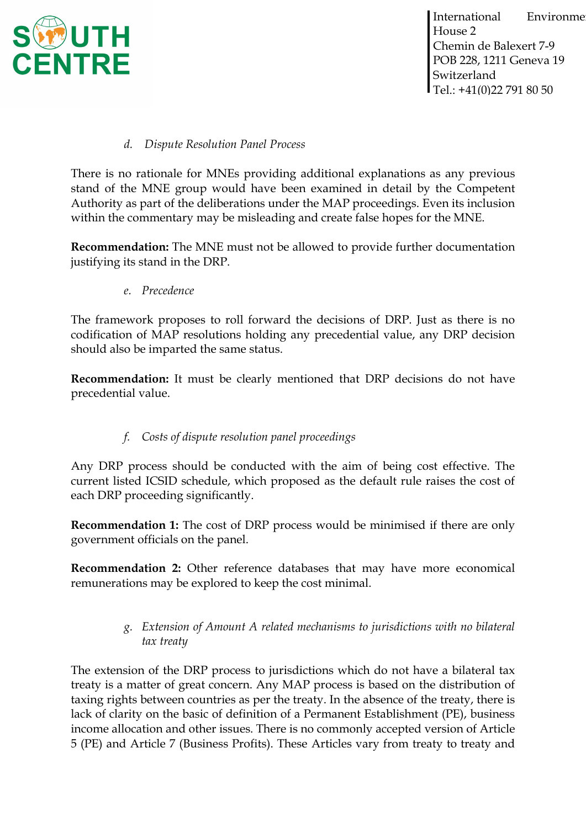

#### *d. Dispute Resolution Panel Process*

There is no rationale for MNEs providing additional explanations as any previous stand of the MNE group would have been examined in detail by the Competent Authority as part of the deliberations under the MAP proceedings. Even its inclusion within the commentary may be misleading and create false hopes for the MNE.

**Recommendation:** The MNE must not be allowed to provide further documentation justifying its stand in the DRP.

*e. Precedence*

The framework proposes to roll forward the decisions of DRP. Just as there is no codification of MAP resolutions holding any precedential value, any DRP decision should also be imparted the same status.

**Recommendation:** It must be clearly mentioned that DRP decisions do not have precedential value.

## *f. Costs of dispute resolution panel proceedings*

Any DRP process should be conducted with the aim of being cost effective. The current listed ICSID schedule, which proposed as the default rule raises the cost of each DRP proceeding significantly.

**Recommendation 1:** The cost of DRP process would be minimised if there are only government officials on the panel.

**Recommendation 2:** Other reference databases that may have more economical remunerations may be explored to keep the cost minimal.

### *g. Extension of Amount A related mechanisms to jurisdictions with no bilateral tax treaty*

The extension of the DRP process to jurisdictions which do not have a bilateral tax treaty is a matter of great concern. Any MAP process is based on the distribution of taxing rights between countries as per the treaty. In the absence of the treaty, there is lack of clarity on the basic of definition of a Permanent Establishment (PE), business income allocation and other issues. There is no commonly accepted version of Article 5 (PE) and Article 7 (Business Profits). These Articles vary from treaty to treaty and